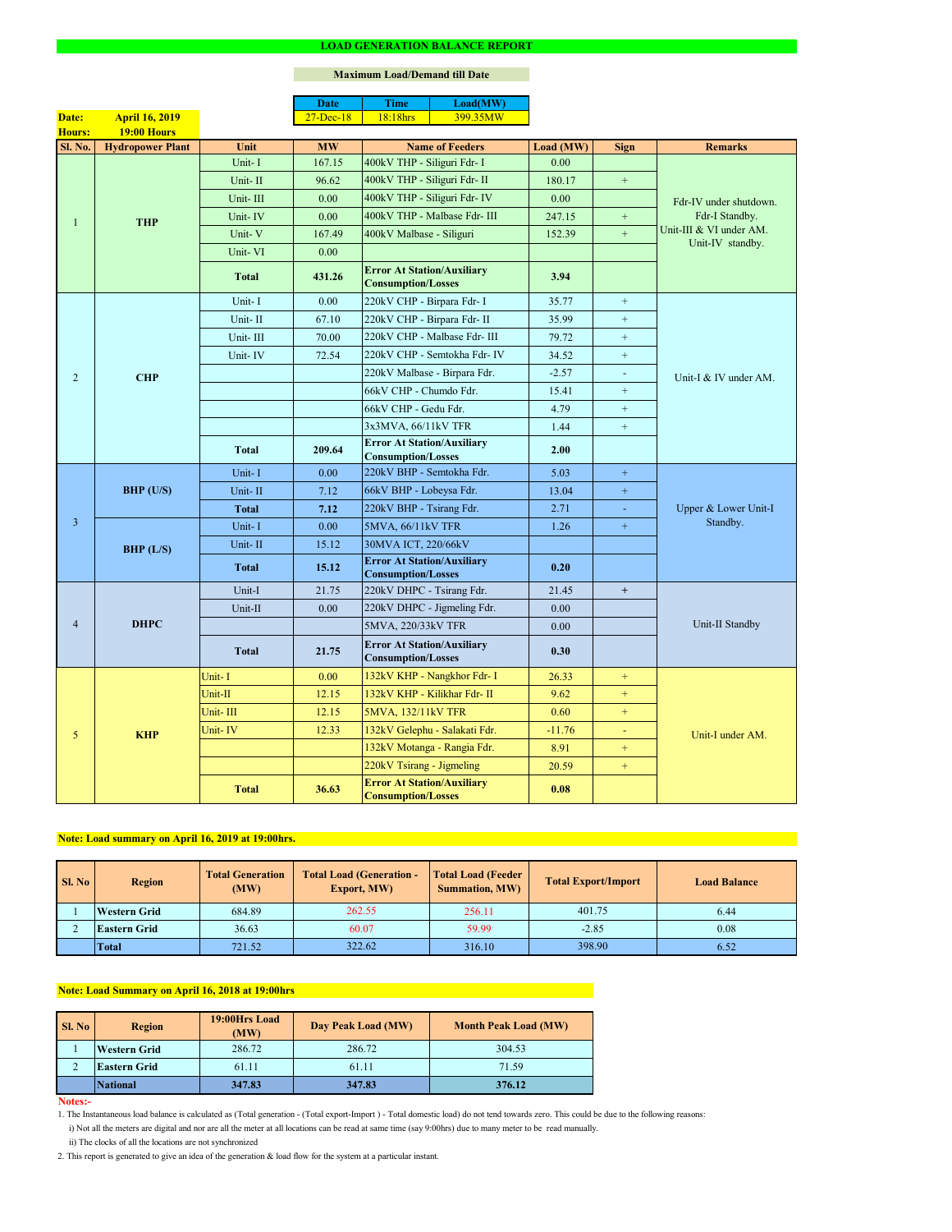#### **Notes:-**

2. This report is generated to give an idea of the generation & load flow for the system at a particular instant.

### **Maximum Load/Demand till Date**

ii) The clocks of all the locations are not synchronized

1. The Instantaneous load balance is calculated as (Total generation - (Total export-Import ) - Total domestic load) do not tend towards zero. This could be due to the following reasons:

| Sl. No | <b>Total Generation</b><br><b>Region</b><br>(MW) |        | <b>Total Load (Generation -</b><br><b>Total Load (Feeder</b><br><b>Export, MW)</b><br><b>Summation, MW)</b> |        | <b>Total Export/Import</b> | <b>Load Balance</b> |
|--------|--------------------------------------------------|--------|-------------------------------------------------------------------------------------------------------------|--------|----------------------------|---------------------|
|        | Western Grid                                     | 684.89 | 262.55                                                                                                      | 256.11 | 401.75                     | 6.44                |
|        | <b>Eastern Grid</b>                              | 36.63  | 60.07                                                                                                       | 59.99  | $-2.85$                    | 0.08                |
|        | <b>Total</b>                                     | 721.52 | 322.62                                                                                                      | 316.10 | 398.90                     | 6.52                |

|                |                         |              | <b>Date</b>       | <b>Time</b>                                                    | Load(MW)                                                               |           |                             |                                                               |  |
|----------------|-------------------------|--------------|-------------------|----------------------------------------------------------------|------------------------------------------------------------------------|-----------|-----------------------------|---------------------------------------------------------------|--|
| Date:          | <b>April 16, 2019</b>   |              | $27 - Dec-18$     | 18:18hrs                                                       | 399.35MW                                                               |           |                             |                                                               |  |
| Hours:         | <b>19:00 Hours</b>      |              |                   |                                                                |                                                                        |           |                             |                                                               |  |
| Sl. No.        | <b>Hydropower Plant</b> | Unit         | <b>MW</b>         |                                                                | <b>Name of Feeders</b>                                                 | Load (MW) | <b>Sign</b>                 | <b>Remarks</b>                                                |  |
|                | <b>THP</b>              | Unit-I       | 167.15            | 400kV THP - Siliguri Fdr- I                                    |                                                                        | 0.00      |                             |                                                               |  |
|                |                         | Unit-II      | 96.62             | 400kV THP - Siliguri Fdr- II                                   |                                                                        | 180.17    | $+$                         |                                                               |  |
|                |                         | Unit-III     | 0.00              |                                                                | 400kV THP - Siliguri Fdr- IV                                           | 0.00      |                             | Fdr-IV under shutdown.                                        |  |
| $\mathbf{1}$   |                         | Unit-IV      | 0.00              |                                                                | 400kV THP - Malbase Fdr- III                                           | 247.15    | $+$                         | Fdr-I Standby.<br>Unit-III & VI under AM.<br>Unit-IV standby. |  |
|                |                         | Unit-V       | 167.49            | 400kV Malbase - Siliguri                                       |                                                                        | 152.39    | $\pm$                       |                                                               |  |
|                |                         | Unit-VI      | 0.00              |                                                                |                                                                        |           |                             |                                                               |  |
|                |                         | <b>Total</b> | 431.26            | <b>Error At Station/Auxiliary</b><br><b>Consumption/Losses</b> |                                                                        | 3.94      |                             |                                                               |  |
|                |                         | Unit-I       | 0.00              | 220kV CHP - Birpara Fdr- I                                     |                                                                        | 35.77     | $+$                         |                                                               |  |
|                |                         | Unit-II      | 67.10             | 220kV CHP - Birpara Fdr- II                                    |                                                                        | 35.99     | $+$                         |                                                               |  |
|                |                         | Unit-III     | 70.00             |                                                                | 220kV CHP - Malbase Fdr- III                                           | 79.72     | $+$                         |                                                               |  |
|                |                         | Unit-IV      | 72.54             |                                                                | 220kV CHP - Semtokha Fdr- IV                                           | 34.52     | $+$                         |                                                               |  |
| 2              | <b>CHP</b>              |              |                   |                                                                | 220kV Malbase - Birpara Fdr.                                           | $-2.57$   | $\blacksquare$              | Unit-I & IV under AM.                                         |  |
|                |                         |              |                   | 66kV CHP - Chumdo Fdr.                                         |                                                                        | 15.41     | $+$                         |                                                               |  |
|                |                         |              |                   | 66kV CHP - Gedu Fdr.                                           |                                                                        | 4.79      | $+$                         |                                                               |  |
|                |                         |              |                   | 3x3MVA, 66/11kV TFR                                            |                                                                        | 1.44      | $+$                         |                                                               |  |
|                |                         | <b>Total</b> | 209.64            | <b>Error At Station/Auxiliary</b><br><b>Consumption/Losses</b> |                                                                        | 2.00      |                             |                                                               |  |
|                | $BHP$ (U/S)             | Unit-I       | 0.00              | 220kV BHP - Semtokha Fdr.                                      |                                                                        | 5.03      | $\pm$                       | Upper & Lower Unit-I<br>Standby.                              |  |
|                |                         | Unit-II      | 7.12              | 66kV BHP - Lobeysa Fdr.                                        |                                                                        | 13.04     | $\pm$                       |                                                               |  |
|                |                         | <b>Total</b> | 7.12              | 220kV BHP - Tsirang Fdr.                                       |                                                                        | 2.71      | $\mathcal{L}_{\mathcal{A}}$ |                                                               |  |
| $\overline{3}$ |                         | Unit-I       | 0.00              | 5MVA, 66/11kV TFR                                              |                                                                        | 1.26      | $\pm$                       |                                                               |  |
|                |                         | Unit-II      | 15.12             | 30MVA ICT, 220/66kV                                            |                                                                        |           |                             |                                                               |  |
|                | BHP (L/S)               |              |                   | <b>Error At Station/Auxiliary</b>                              |                                                                        |           |                             |                                                               |  |
|                |                         | <b>Total</b> | 15.12             | <b>Consumption/Losses</b>                                      |                                                                        | 0.20      |                             |                                                               |  |
|                |                         | Unit-I       | 21.75             | 220kV DHPC - Tsirang Fdr.                                      |                                                                        | 21.45     | $+$                         |                                                               |  |
|                |                         | Unit-II      | 0.00              |                                                                | 220kV DHPC - Jigmeling Fdr.                                            | 0.00      |                             |                                                               |  |
| $\overline{4}$ | <b>DHPC</b>             |              |                   | 5MVA, 220/33kV TFR                                             |                                                                        | 0.00      |                             | Unit-II Standby                                               |  |
|                |                         | <b>Total</b> | 21.75             |                                                                | <b>Error At Station/Auxiliary</b><br>0.30<br><b>Consumption/Losses</b> |           |                             |                                                               |  |
|                |                         | Unit-I       | 0.00 <sub>1</sub> |                                                                | 132kV KHP - Nangkhor Fdr- I                                            | 26.33     | $+$                         |                                                               |  |
|                |                         | Unit-II      | 12.15             |                                                                | 132kV KHP - Kilikhar Fdr- II                                           | 9.62      | $+$                         |                                                               |  |
|                |                         | Unit-III     | 12.15             | 5MVA, 132/11kV TFR                                             |                                                                        | 0.60      | $+$                         |                                                               |  |
| 5              |                         | Unit-IV      | 12.33             |                                                                | 132kV Gelephu - Salakati Fdr.                                          | $-11.76$  | $\blacksquare$              | Unit-I under AM.                                              |  |
|                | <b>KHP</b>              |              |                   |                                                                | 132kV Motanga - Rangia Fdr.                                            | 8.91      | $+$                         |                                                               |  |
|                |                         |              |                   | 220kV Tsirang - Jigmeling                                      |                                                                        | 20.59     | $+$                         |                                                               |  |
|                |                         | <b>Total</b> | 36.63             | <b>Error At Station/Auxiliary</b><br><b>Consumption/Losses</b> |                                                                        | 0.08      |                             |                                                               |  |

| <b>Sl. No</b> | <b>Region</b>       | 19:00Hrs Load<br>(MW) | Day Peak Load (MW) | <b>Month Peak Load (MW)</b> |
|---------------|---------------------|-----------------------|--------------------|-----------------------------|
|               | <b>Western Grid</b> | 286.72                | 286.72             | 304.53                      |
| ∠             | <b>Eastern Grid</b> | 61.11                 | 61.11              | 71.59                       |
|               | <b>National</b>     | 347.83                | 347.83             | 376.12                      |

# **Note: Load summary on April 16, 2019 at 19:00hrs.**

i) Not all the meters are digital and nor are all the meter at all locations can be read at same time (say 9:00hrs) due to many meter to be read manually.

# **Note: Load Summary on April 16, 2018 at 19:00hrs**

### **LOAD GENERATION BALANCE REPORT**